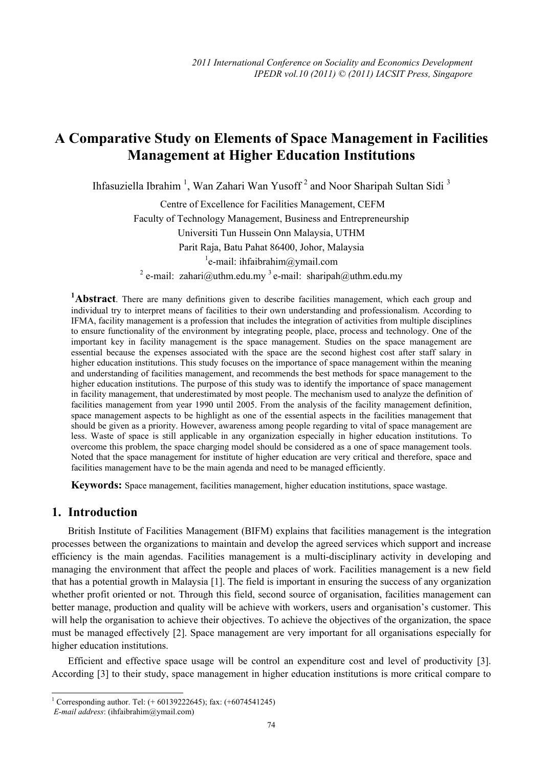# **A Comparative Study on Elements of Space Management in Facilities Management at Higher Education Institutions**

Ihfasuziella Ibrahim<sup>1</sup>, Wan Zahari Wan Yusoff<sup>2</sup> and Noor Sharipah Sultan Sidi<sup>3</sup>

 Centre of Excellence for Facilities Management, CEFM Faculty of Technology Management, Business and Entrepreneurship Universiti Tun Hussein Onn Malaysia, UTHM Parit Raja, Batu Pahat 86400, Johor, Malaysia <sup>1</sup>e-mail: ihfaibrahim@ymail.com

<sup>2</sup> e-mail: zahari@uthm.edu.my<sup>3</sup> e-mail: sharipah@uthm.edu.my

<sup>1</sup>**Abstract**. There are many definitions given to describe facilities management, which each group and individual try to interpret means of facilities to their own understanding and professionalism. According to IFMA, facility management is a profession that includes the integration of activities from multiple disciplines to ensure functionality of the environment by integrating people, place, process and technology. One of the important key in facility management is the space management. Studies on the space management are essential because the expenses associated with the space are the second highest cost after staff salary in higher education institutions. This study focuses on the importance of space management within the meaning and understanding of facilities management, and recommends the best methods for space management to the higher education institutions. The purpose of this study was to identify the importance of space management in facility management, that underestimated by most people. The mechanism used to analyze the definition of facilities management from year 1990 until 2005. From the analysis of the facility management definition, space management aspects to be highlight as one of the essential aspects in the facilities management that should be given as a priority. However, awareness among people regarding to vital of space management are less. Waste of space is still applicable in any organization especially in higher education institutions. To overcome this problem, the space charging model should be considered as a one of space management tools. Noted that the space management for institute of higher education are very critical and therefore, space and facilities management have to be the main agenda and need to be managed efficiently.

**Keywords:** Space management, facilities management, higher education institutions, space wastage.

# **1. Introduction**

British Institute of Facilities Management (BIFM) explains that facilities management is the integration processes between the organizations to maintain and develop the agreed services which support and increase efficiency is the main agendas. Facilities management is a multi-disciplinary activity in developing and managing the environment that affect the people and places of work. Facilities management is a new field that has a potential growth in Malaysia [1]. The field is important in ensuring the success of any organization whether profit oriented or not. Through this field, second source of organisation, facilities management can better manage, production and quality will be achieve with workers, users and organisation's customer. This will help the organisation to achieve their objectives. To achieve the objectives of the organization, the space must be managed effectively [2]. Space management are very important for all organisations especially for higher education institutions.

Efficient and effective space usage will be control an expenditure cost and level of productivity [3]. According [3] to their study, space management in higher education institutions is more critical compare to

 1 Corresponding author. Tel: (+ 60139222645); fax: (+6074541245)

*E-mail address*: (ihfaibrahim@ymail.com)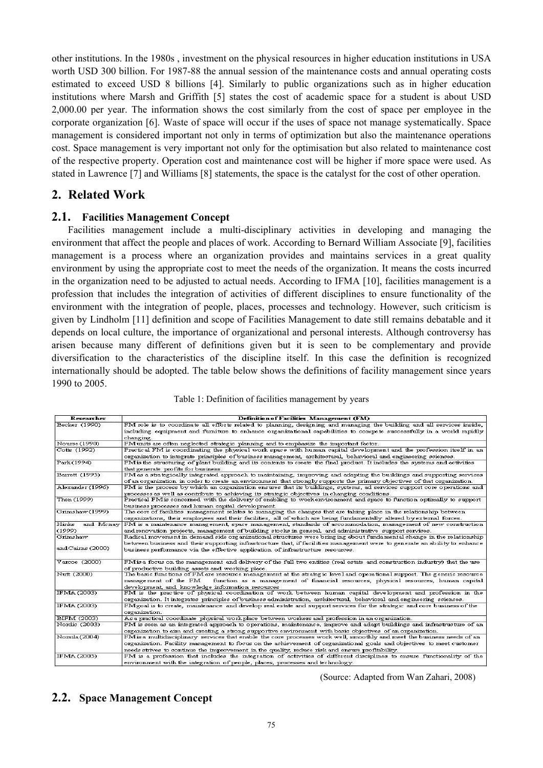other institutions. In the 1980s , investment on the physical resources in higher education institutions in USA worth USD 300 billion. For 1987-88 the annual session of the maintenance costs and annual operating costs estimated to exceed USD 8 billions [4]. Similarly to public organizations such as in higher education institutions where Marsh and Griffith [5] states the cost of academic space for a student is about USD 2,000.00 per year. The information shows the cost similarly from the cost of space per employee in the corporate organization [6]. Waste of space will occur if the uses of space not manage systematically. Space management is considered important not only in terms of optimization but also the maintenance operations cost. Space management is very important not only for the optimisation but also related to maintenance cost of the respective property. Operation cost and maintenance cost will be higher if more space were used. As stated in Lawrence [7] and Williams [8] statements, the space is the catalyst for the cost of other operation.

## **2. Related Work**

#### **2.1. Facilities Management Concept**

Facilities management include a multi-disciplinary activities in developing and managing the environment that affect the people and places of work. According to Bernard William Associate [9], facilities management is a process where an organization provides and maintains services in a great quality environment by using the appropriate cost to meet the needs of the organization. It means the costs incurred in the organization need to be adjusted to actual needs. According to IFMA [10], facilities management is a profession that includes the integration of activities of different disciplines to ensure functionality of the environment with the integration of people, places, processes and technology. However, such criticism is given by Lindholm [11] definition and scope of Facilities Management to date still remains debatable and it depends on local culture, the importance of organizational and personal interests. Although controversy has arisen because many different of definitions given but it is seen to be complementary and provide diversification to the characteristics of the discipline itself. In this case the definition is recognized internationally should be adopted. The table below shows the definitions of facility management since years 1990 to 2005.

|  |  |  | Table 1: Definition of facilities management by years |
|--|--|--|-------------------------------------------------------|
|  |  |  |                                                       |

| Researcher                    | Definition of Facilities Management (FM)                                                                                                                                                                                                                                                                                                            |  |  |  |  |  |
|-------------------------------|-----------------------------------------------------------------------------------------------------------------------------------------------------------------------------------------------------------------------------------------------------------------------------------------------------------------------------------------------------|--|--|--|--|--|
| Becker (1990)                 | FM role is to coordinate all efforts related to planning, designing and managing the building and all services inside,<br>including equipment and furniture to enhance organizational capabilities to compete successfully in a world rapidly<br>changing.                                                                                          |  |  |  |  |  |
| Nourse (1990)                 | FM units are often neglected strategic planning and to emphasize the important factor.                                                                                                                                                                                                                                                              |  |  |  |  |  |
| Cotts (1992)                  | Practical FM is coordinating the physical work space with human capital development and the profession itself in an<br>organization to integrate principles of business management, architectural, behavioral and engineering sciences.                                                                                                             |  |  |  |  |  |
| Park (1994)                   | FM is the structuring of plant building and its contents to create the final product. It includes the systems and activities<br>that generate profits for business.                                                                                                                                                                                 |  |  |  |  |  |
| Barrett (1995)                | FM as a strategically integrated approach to maintaining, improving and adapting the buildings and supporting services<br>of an organization in order to create an environment that strongly supports the primary objectives of that organization.                                                                                                  |  |  |  |  |  |
| Alexander (1996)              | FM is the process by which an organization ensures that its buildings, systems, ad services support core operations and<br>processes as well as contribute to achieving its strategic objectives in changing conditions.                                                                                                                            |  |  |  |  |  |
| Then (1999)                   | Practical FM is concerned with the delivery of enabling to work environment and space to function optimally to support<br>business processes and human capital development.                                                                                                                                                                         |  |  |  |  |  |
| Grimshaw (1999)               | The core of facilities management relates to managing the changes that are taking place in the relationship between<br>organizations, their employees and their facilities, all of which are being fundamentally altered by external forces.                                                                                                        |  |  |  |  |  |
| Hinks<br>and Mcnay<br>(1999)  | FM is a maintenance management, space management, standards of accommodation, management of new construction<br>and renovation projects, management of building stocks in general, and administrative support services.                                                                                                                             |  |  |  |  |  |
| Grimshaw<br>and Cairns (2000) | Radical movement in demand side organizational structures were bring ing about fundamental change in the relationship<br>between business and their supporting infrastructure that, if facilities management were to generate an ability to enhance<br>business performance via the effective application of infrastructure resources.              |  |  |  |  |  |
| Varcoe (2000)                 | FM is a focus on the management and delivery of the full two entities (real estate and construction industry) that the use<br>of productive building assets and working place.                                                                                                                                                                      |  |  |  |  |  |
| Nutt (2000)                   | The basic functions of FM are resource management at the strategic level and operational support. The generic resource<br>function as a management of financial resources, physical resources, human capital<br>management of the FM<br>development, and knowledge information resources                                                            |  |  |  |  |  |
| <b>IFMA (2003)</b>            | FM is the practice of physical coordination of work between human capital development and profession in the<br>organization. It integrates principles of business administration, architectural, behavioral and engineering sciences.                                                                                                               |  |  |  |  |  |
| IFMA (2003)                   | FM goal is to create, maintenance and develop real estate and support services for the strategic and core business of the<br>organization.                                                                                                                                                                                                          |  |  |  |  |  |
| BIFM (2003)                   | As a practical coordinate physical work place between workers and profession in an organization.                                                                                                                                                                                                                                                    |  |  |  |  |  |
| Nordic (2003)                 | FM is seen as an integrated approach to operations, maintenance, improve and adapt buildings and infrastructure of an<br>organization to aim and creating a strong supportive environment with basic objectives of an organization.                                                                                                                 |  |  |  |  |  |
| Norsila (2004)                | FM is a multidisciplinary services that enable the core processes work well, smoothly and meet the business needs of an<br>organization. Facility management to focus on the achievement of organizational goals and objectives to meet customer<br>needs strives to continue the improvement in the quality, reduce risk and ensure profitability. |  |  |  |  |  |
| <b>IFMA (2005)</b>            | FM is a profession that includes the integration of activities of different disciplines to ensure functionality of the<br>environment with the integration of people, places, processes and technology.                                                                                                                                             |  |  |  |  |  |

(Source: Adapted from Wan Zahari, 2008)

# **2.2. Space Management Concept**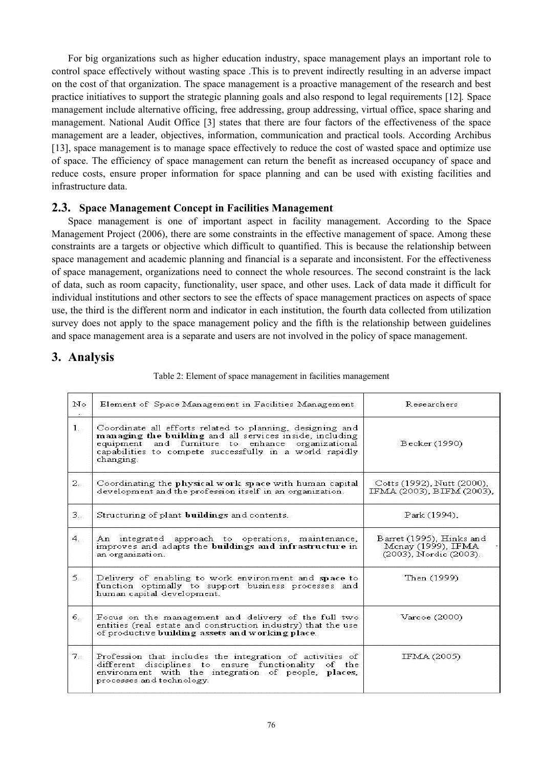For big organizations such as higher education industry, space management plays an important role to control space effectively without wasting space .This is to prevent indirectly resulting in an adverse impact on the cost of that organization. The space management is a proactive management of the research and best practice initiatives to support the strategic planning goals and also respond to legal requirements [12]*.* Space management include alternative officing, free addressing, group addressing, virtual office, space sharing and management. National Audit Office [3] states that there are four factors of the effectiveness of the space management are a leader, objectives, information, communication and practical tools. According Archibus [13], space management is to manage space effectively to reduce the cost of wasted space and optimize use of space. The efficiency of space management can return the benefit as increased occupancy of space and reduce costs, ensure proper information for space planning and can be used with existing facilities and infrastructure data.

#### **2.3. Space Management Concept in Facilities Management**

Space management is one of important aspect in facility management. According to the Space Management Project (2006), there are some constraints in the effective management of space. Among these constraints are a targets or objective which difficult to quantified. This is because the relationship between space management and academic planning and financial is a separate and inconsistent. For the effectiveness of space management, organizations need to connect the whole resources. The second constraint is the lack of data, such as room capacity, functionality, user space, and other uses. Lack of data made it difficult for individual institutions and other sectors to see the effects of space management practices on aspects of space use, the third is the different norm and indicator in each institution, the fourth data collected from utilization survey does not apply to the space management policy and the fifth is the relationship between guidelines and space management area is a separate and users are not involved in the policy of space management.

## **3. Analysis**

| N <sub>o</sub> | Element of Space Management in Facilities Management                                                                                                                                                                                               | Researchers                                                              |
|----------------|----------------------------------------------------------------------------------------------------------------------------------------------------------------------------------------------------------------------------------------------------|--------------------------------------------------------------------------|
| $1 -$          | Coordinate all efforts related to planning, designing and<br>managing the building and all services inside, including<br>equipment and furniture to enhance organizational<br>capabilities to compete successfully in a world rapidly<br>changing. | Becker (1990)                                                            |
| 2.7            | Coordinating the physical work space with human capital<br>development and the profession itself in an organization.                                                                                                                               | Cotts (1992), Nutt (2000),<br>IFMA (2003), BIFM (2003),                  |
| 3.5            | Structuring of plant <b>buildings</b> and contents.                                                                                                                                                                                                | Park (1994),                                                             |
| 4.1            | An integrated approach to operations, maintenance,<br>improves and adapts the buildings and infrastructure in<br>an organization.                                                                                                                  | Barret (1995), Hinks and<br>Mcnay (1999), IFMA<br>(2003), Nordic (2003). |
| $5 -$          | Delivery of enabling to work environment and space to<br>function optimally to support business processes and<br>human capital development.                                                                                                        | Then (1999)                                                              |
| 6.             | Focus on the management and delivery of the full two<br>entities (real estate and construction industry) that the use<br>of productive building assets and working place.                                                                          | Varcoe (2000)                                                            |
| $7_{\cdots}$   | Profession that includes the integration of activities of<br>different disciplines to ensure functionality of the<br>environment with the integration of people, places.<br>processes and technology.                                              | IFMA (2005)                                                              |

Table 2: Element of space management in facilities management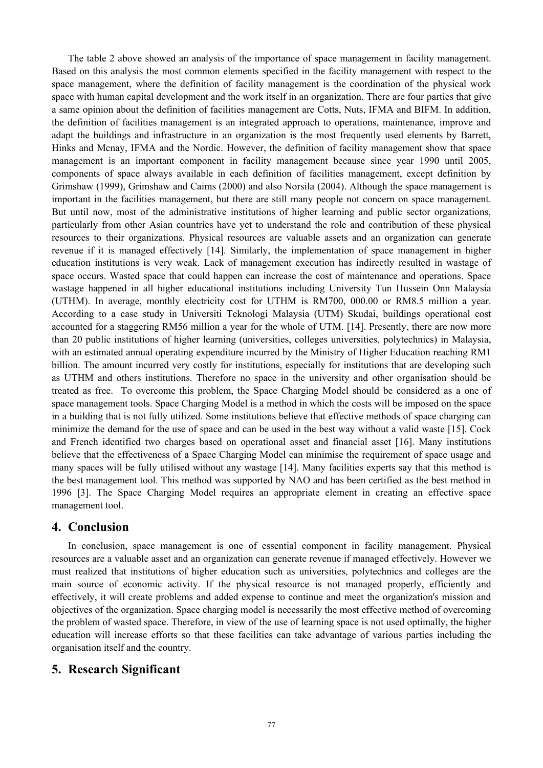The table 2 above showed an analysis of the importance of space management in facility management. Based on this analysis the most common elements specified in the facility management with respect to the space management, where the definition of facility management is the coordination of the physical work space with human capital development and the work itself in an organization. There are four parties that give a same opinion about the definition of facilities management are Cotts, Nuts, IFMA and BIFM. In addition, the definition of facilities management is an integrated approach to operations, maintenance, improve and adapt the buildings and infrastructure in an organization is the most frequently used elements by Barrett, Hinks and Mcnay, IFMA and the Nordic. However, the definition of facility management show that space management is an important component in facility management because since year 1990 until 2005, components of space always available in each definition of facilities management, except definition by Grimshaw (1999), Grimshaw and Caims (2000) and also Norsila (2004). Although the space management is important in the facilities management, but there are still many people not concern on space management. But until now, most of the administrative institutions of higher learning and public sector organizations, particularly from other Asian countries have yet to understand the role and contribution of these physical resources to their organizations. Physical resources are valuable assets and an organization can generate revenue if it is managed effectively [14]. Similarly, the implementation of space management in higher education institutions is very weak. Lack of management execution has indirectly resulted in wastage of space occurs. Wasted space that could happen can increase the cost of maintenance and operations. Space wastage happened in all higher educational institutions including University Tun Hussein Onn Malaysia (UTHM). In average, monthly electricity cost for UTHM is RM700, 000.00 or RM8.5 million a year. According to a case study in Universiti Teknologi Malaysia (UTM) Skudai, buildings operational cost accounted for a staggering RM56 million a year for the whole of UTM. [14]. Presently, there are now more than 20 public institutions of higher learning (universities, colleges universities, polytechnics) in Malaysia, with an estimated annual operating expenditure incurred by the Ministry of Higher Education reaching RM1 billion. The amount incurred very costly for institutions, especially for institutions that are developing such as UTHM and others institutions. Therefore no space in the university and other organisation should be treated as free. To overcome this problem, the Space Charging Model should be considered as a one of space management tools. Space Charging Model is a method in which the costs will be imposed on the space in a building that is not fully utilized. Some institutions believe that effective methods of space charging can minimize the demand for the use of space and can be used in the best way without a valid waste [15]. Cock and French identified two charges based on operational asset and financial asset [16]. Many institutions believe that the effectiveness of a Space Charging Model can minimise the requirement of space usage and many spaces will be fully utilised without any wastage [14]. Many facilities experts say that this method is the best management tool. This method was supported by NAO and has been certified as the best method in 1996 [3]. The Space Charging Model requires an appropriate element in creating an effective space management tool.

#### **4. Conclusion**

In conclusion, space management is one of essential component in facility management. Physical resources are a valuable asset and an organization can generate revenue if managed effectively. However we must realized that institutions of higher education such as universities, polytechnics and colleges are the main source of economic activity. If the physical resource is not managed properly, efficiently and effectively, it will create problems and added expense to continue and meet the organization's mission and objectives of the organization. Space charging model is necessarily the most effective method of overcoming the problem of wasted space. Therefore, in view of the use of learning space is not used optimally, the higher education will increase efforts so that these facilities can take advantage of various parties including the organisation itself and the country.

# **5. Research Significant**